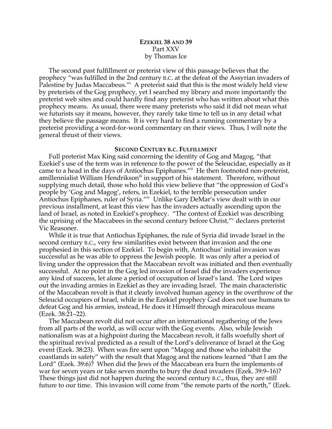# **EZEKIEL 38 AND 39** Part XXV by Thomas Ice

The second past fulfillment or preterist view of this passage believes that the prophecy "was fulfilled in the 2nd century B.C. at the defeat of the Assyrian invaders of Palestine by Judas Maccabeus."<sup>i</sup> A preterist said that this is the most widely held view by preterists of the Gog prophecy, yet I searched my library and more importantly the preterist web sites and could hardly find any preterist who has written about what this prophecy means. As usual, there were many preterists who said it did not mean what we futurists say it means, however, they rarely take time to tell us in any detail what they believe the passage means. It is very hard to find a running commentary by a preterist providing a word-for-word commentary on their views. Thus, I will note the general thrust of their views.

#### **SECOND CENTURY B.C. FULFILLMENT**

Full preterist Max King said concerning the identity of Gog and Magog, "that Ezekiel's use of the term was in reference to the power of the Seleucidae, especially as it came to a head in the days of Antiochus Epiphanes." He then footnoted non-preterist, amillennialist William Hendrikson<sup>iii</sup> in support of his statement. Therefore, without supplying much detail, those who hold this view believe that "the oppression of God's people by 'Gog and Magog', refers, in Ezekiel, to the terrible persecution under Antiochus Epiphanes, ruler of Syria."iv Unlike Gary DeMar's view dealt with in our previous installment, at least this view has the invaders actually ascending upon the land of Israel, as noted in Ezekiel's prophecy. "The context of Ezekiel was describing the uprising of the Maccabees in the second century before Christ,"<sup>v</sup> declares preterist Vic Reasoner.

While it is true that Antiochus Epiphanes, the rule of Syria did invade Israel in the second century B.C., very few similarities exist between that invasion and the one prophesied in this section of Ezekiel. To begin with, Antiochus' initial invasion was successful as he was able to oppress the Jewish people. It was only after a period of living under the oppression that the Maccabean revolt was initiated and then eventually successful. At no point in the Gog led invasion of Israel did the invaders experience any kind of success, let alone a period of occupation of Israel's land. The Lord wipes out the invading armies in Ezekiel as they are invading Israel. The main characteristic of the Maccabean revolt is that it clearly involved human agency in the overthrow of the Seleucid occupiers of Israel, while in the Ezekiel prophecy God does not use humans to defeat Gog and his armies, instead, He does it Himself through miraculous means (Ezek. 38:21–22).

The Maccabean revolt did not occur after an international regathering of the Jews from all parts of the world, as will occur with the Gog events. Also, while Jewish nationalism was at a highpoint during the Maccabean revolt, it falls woefully short of the spiritual revival predicted as a result of the Lord's deliverance of Israel at the Gog event (Ezek. 38:23). When was fire sent upon "Magog and those who inhabit the coastlands in safety" with the result that Magog and the nations learned "that I am the Lord" (Ezek. 39:6)? When did the Jews of the Maccabean era burn the implements of war for seven years or take seven months to bury the dead invaders (Ezek. 39:9–16)? These things just did not happen during the second century B.C., thus, they are still future to our time. This invasion will come from "the remote parts of the north," (Ezek.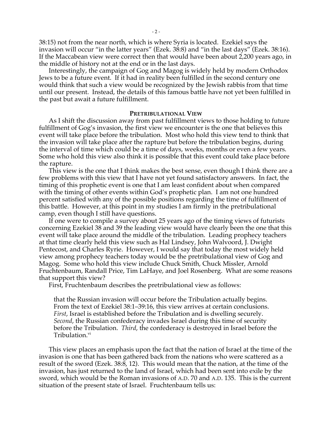38:15) not from the near north, which is where Syria is located. Ezekiel says the invasion will occur "in the latter years" (Ezek. 38:8) and "in the last days" (Ezek. 38:16). If the Maccabean view were correct then that would have been about 2,200 years ago, in the middle of history not at the end or in the last days.

Interestingly, the campaign of Gog and Magog is widely held by modern Orthodox Jews to be a future event. If it had in reality been fulfilled in the second century one would think that such a view would be recognized by the Jewish rabbis from that time until our present. Instead, the details of this famous battle have not yet been fulfilled in the past but await a future fulfillment.

### **PRETRIBULATIONAL VIEW**

As I shift the discussion away from past fulfillment views to those holding to future fulfillment of Gog's invasion, the first view we encounter is the one that believes this event will take place before the tribulation. Most who hold this view tend to think that the invasion will take place after the rapture but before the tribulation begins, during the interval of time which could be a time of days, weeks, months or even a few years. Some who hold this view also think it is possible that this event could take place before the rapture.

This view is the one that I think makes the best sense, even though I think there are a few problems with this view that I have not yet found satisfactory answers. In fact, the timing of this prophetic event is one that I am least confident about when compared with the timing of other events within God's prophetic plan. I am not one hundred percent satisfied with any of the possible positions regarding the time of fulfillment of this battle. However, at this point in my studies I am firmly in the pretribulational camp, even though I still have questions.

If one were to compile a survey about 25 years ago of the timing views of futurists concerning Ezekiel 38 and 39 the leading view would have clearly been the one that this event will take place around the middle of the tribulation. Leading prophecy teachers at that time clearly held this view such as Hal Lindsey, John Walvoord, J. Dwight Pentecost, and Charles Ryrie. However, I would say that today the most widely held view among prophecy teachers today would be the pretribulational view of Gog and Magog. Some who hold this view include Chuck Smith, Chuck Missler, Arnold Fruchtenbaum, Randall Price, Tim LaHaye, and Joel Rosenberg. What are some reasons that support this view?

First, Fruchtenbaum describes the pretribulational view as follows:

that the Russian invasion will occur before the Tribulation actually begins. From the text of Ezekiel 38:1–39:16, this view arrives at certain conclusions. *First*, Israel is established before the Tribulation and is dwelling securely. *Second*, the Russian confederacy invades Israel during this time of security before the Tribulation. *Third*, the confederacy is destroyed in Israel before the Tribulation.<sup>vi</sup>

This view places an emphasis upon the fact that the nation of Israel at the time of the invasion is one that has been gathered back from the nations who were scattered as a result of the sword (Ezek. 38:8, 12). This would mean that the nation, at the time of the invasion, has just returned to the land of Israel, which had been sent into exile by the sword, which would be the Roman invasions of A.D. 70 and A.D. 135. This is the current situation of the present state of Israel. Fruchtenbaum tells us: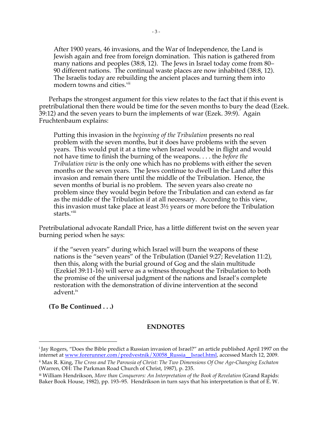After 1900 years, 46 invasions, and the War of Independence, the Land is Jewish again and free from foreign domination. This nation is gathered from many nations and peoples (38:8, 12). The Jews in Israel today come from 80– 90 different nations. The continual waste places are now inhabited (38:8, 12). The Israelis today are rebuilding the ancient places and turning them into modern towns and cities.<sup>vii</sup>

Perhaps the strongest argument for this view relates to the fact that if this event is pretribulational then there would be time for the seven months to bury the dead (Ezek. 39:12) and the seven years to burn the implements of war (Ezek. 39:9). Again Fruchtenbaum explains:

Putting this invasion in the *beginning of the Tribulation* presents no real problem with the seven months, but it does have problems with the seven years. This would put it at a time when Israel would be in flight and would not have time to finish the burning of the weapons. . . . the *before the Tribulation view* is the only one which has no problems with either the seven months or the seven years. The Jews continue to dwell in the Land after this invasion and remain there until the middle of the Tribulation. Hence, the seven months of burial is no problem. The seven years also create no problem since they would begin before the Tribulation and can extend as far as the middle of the Tribulation if at all necessary. According to this view, this invasion must take place at least 3½ years or more before the Tribulation starts.<sup>viii</sup>

Pretribulational advocate Randall Price, has a little different twist on the seven year burning period when he says:

if the "seven years" during which Israel will burn the weapons of these nations is the "seven years" of the Tribulation (Daniel 9:27; Revelation 11:2), then this, along with the burial ground of Gog and the slain multitude (Ezekiel 39:11-16) will serve as a witness throughout the Tribulation to both the promise of the universal judgment of the nations and Israel's complete restoration with the demonstration of divine intervention at the second advent.<sup>ix</sup>

## **(To Be Continued . . .)**

 $\overline{a}$ 

## **ENDNOTES**

<sup>i</sup> Jay Rogers, "Does the Bible predict a Russian invasion of Israel?" an article published April 1997 on the internet at www.forerunner.com/predvestnik/X0058\_Russia\_\_Israel.html, accessed March 12, 2009.

ii Max R. King, *The Cross and The Parousia of Christ: The Two Dimensions Of One Age-Changing Eschaton*  (Warren, OH: The Parkman Road Church of Christ, 1987), p. 235.

iii William Hendrikson, *More than Conquerors: An Interpretation of the Book of Revelation* (Grand Rapids: Baker Book House, 1982), pp. 193–95. Hendrikson in turn says that his interpretation is that of E. W.